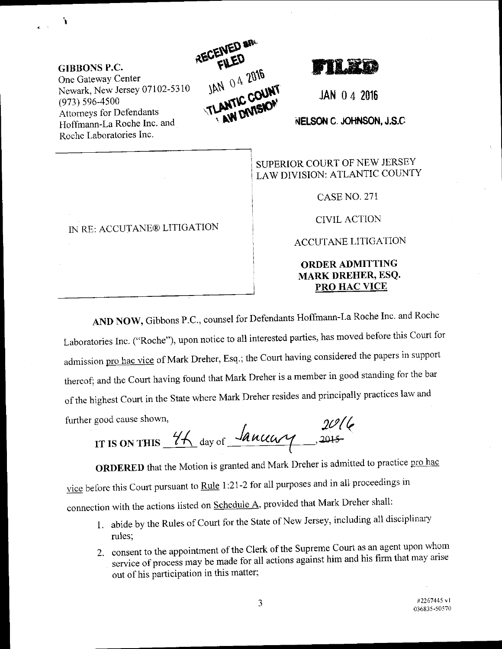**GIBBONS P.C.** One Gateway Center Newark, New Jersey 07102-5310  $(973) 596 - 4500$ **Attorneys for Defendants** Hoffmann-La Roche Inc. and Roche Laboratories Inc.

٠,



JAN 042016

NELSON C. JOHNSON, J.S.C

SUPERIOR COURT OF NEW JERSEY LAW DIVISION: ATLANTIC COUNTY

**CASE NO. 271** 

**CIVIL ACTION** 

**ACCUTANE LITIGATION** 

## **ORDER ADMITTING MARK DREHER, ESQ.** PRO HAC VICE

AND NOW, Gibbons P.C., counsel for Defendants Hoffmann-La Roche Inc. and Roche

Laboratories Inc. ("Roche"), upon notice to all interested parties, has moved before this Court for admission pro hac vice of Mark Dreher, Esq.; the Court having considered the papers in support thereof; and the Court having found that Mark Dreher is a member in good standing for the bar of the highest Court in the State where Mark Dreher resides and principally practices law and further good cause shown,

IT IS ON THIS  $\frac{44}{4}$  day of  $\frac{\sqrt{2016}}{400000}$ 

ORDERED that the Motion is granted and Mark Dreher is admitted to practice pro hac vice before this Court pursuant to Rule 1:21-2 for all purposes and in all proceedings in connection with the actions listed on Schedule A, provided that Mark Dreher shall:

- 1. abide by the Rules of Court for the State of New Jersey, including all disciplinary rules;
- 2. consent to the appointment of the Clerk of the Supreme Court as an agent upon whom service of process may be made for all actions against him and his firm that may arise out of his participation in this matter;

IN RE: ACCUTANE® LITIGATION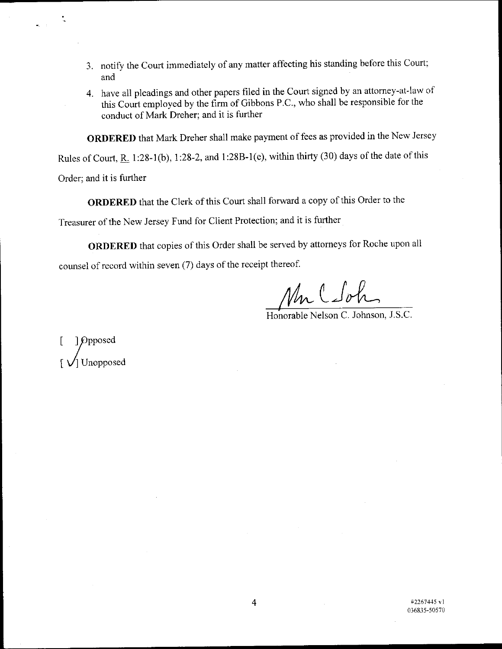- 3. notify the Court immediately of any matter affecting his standing before this Court; and
- 4. have all pleadings and other papers filed in the Court signed by an attorney-at-law of this court employed by the firm of Gibbons P.C., who shall be responsible for the conduct of Mark Dreher; and it is further

oRDERED that Mark Dreher shall make payment of fees as provided in the Neu'Jersey

Rules of Court,  $R_1$  1:28-1(b), 1:28-2, and 1:28B-1(e), within thirty (30) days of the date of this

Order; and it is further

ORDERED that the clerk of this court shall forward a copy of this order to the

Treasurer of the New Jersey Fund for Client Protection; and it is further

oRDERED that copies of this order shall be served by attorneys for Roche upon all counsel of record within seven (7) days of the receipt thereof.

Mr C Soh

Honorable Nelson C. Johnson, J.S.C.

 $\mathfrak{g}$ ] Opposed  $f_{\rm rot}$ I V] Unopposed